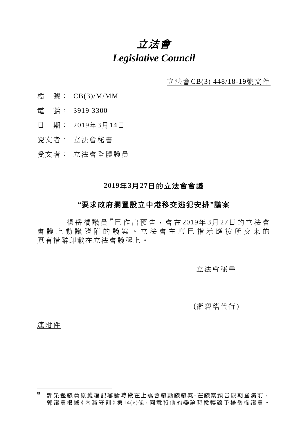# 立法會 *Legislative Council*

立法會CB(3) 448/18-19號文件

- 檔 號: CB(3)/M/MM
- 電 話: 3919 3300
- 日 期: 2019年3月14日
- 發文者: 立法會秘書
- 受文者: 立法會全體議員

## **2019**年**3**月**27**日的立法會會議

#### **"**要求政府擱置設立中港移交逃犯安排**"**議案

楊岳橋議員<sup>[註](#page-0-0)</sup>已作出預告,會在2019年3月27日的立法會 會議上動議隨附的議案。立法會主席已指示應按所交來的 原有措辭印載在立法會議程上。

立法會秘書

(衛碧瑤代行)

連附件

<span id="page-0-0"></span>一註 郭榮鏗議員原獲編配辯論時段在上述會議動議議案。在議案預告限期屆滿前, 郭議員 根 據《 內 務 守 則 》第 14(e)條,同 意 將 他 的 辯 論時段轉讓予楊 岳 橋議員。